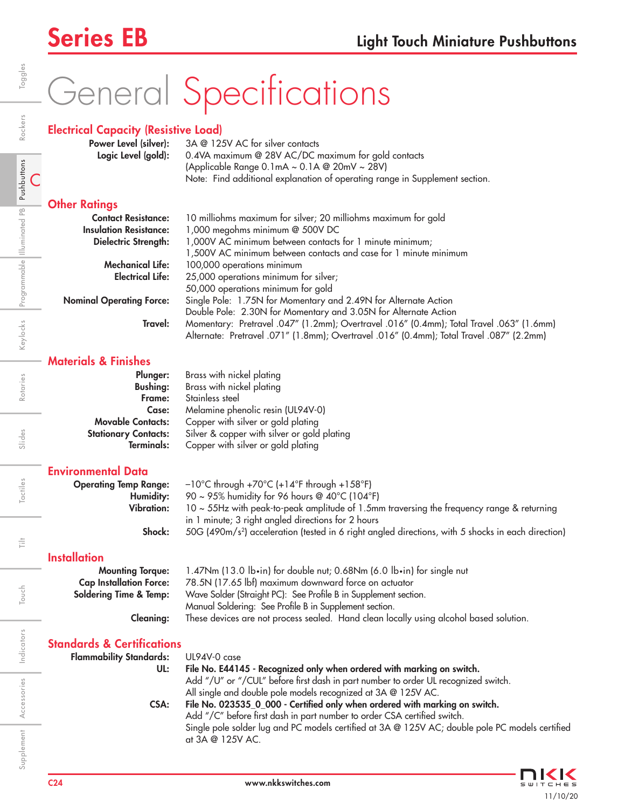# General Specifications

## Electrical Capacity (Resistive Load)

| Power Level (silver): | $3A \otimes 125V$ AC for silver contacts                                    |  |  |
|-----------------------|-----------------------------------------------------------------------------|--|--|
| Logic Level (gold):   | 0.4VA maximum @ 28V AC/DC maximum for gold contacts                         |  |  |
|                       | (Applicable Range 0.1mA $\sim$ 0.1A @ 20mV $\sim$ 28V)                      |  |  |
|                       | Note: Find additional explanation of operating range in Supplement section. |  |  |

## **Other Ratings**

| <b>Contact Resistance:</b>      | 10 milliohms maximum for silver; 20 milliohms maximum for gold                           |  |  |  |
|---------------------------------|------------------------------------------------------------------------------------------|--|--|--|
| <b>Insulation Resistance:</b>   | 1,000 megohms minimum $@$ 500V DC                                                        |  |  |  |
| Dielectric Strength:            | 1,000V AC minimum between contacts for 1 minute minimum;                                 |  |  |  |
|                                 | 1,500V AC minimum between contacts and case for 1 minute minimum                         |  |  |  |
| <b>Mechanical Life:</b>         | 100,000 operations minimum                                                               |  |  |  |
| <b>Electrical Life:</b>         | 25,000 operations minimum for silver;                                                    |  |  |  |
|                                 | 50,000 operations minimum for gold                                                       |  |  |  |
| <b>Nominal Operating Force:</b> | Single Pole: 1.75N for Momentary and 2.49N for Alternate Action                          |  |  |  |
|                                 | Double Pole: 2.30N for Momentary and 3.05N for Alternate Action                          |  |  |  |
| Travel:                         | Momentary: Pretravel .047" (1.2mm); Overtravel .016" (0.4mm); Total Travel .063" (1.6mm) |  |  |  |
|                                 | Alternate: Pretravel .071" (1.8mm); Overtravel .016" (0.4mm); Total Travel .087" (2.2mm) |  |  |  |

## Materials & Finishes

| Plunger:                    | Brass with nickel plating                   |
|-----------------------------|---------------------------------------------|
| <b>Bushing:</b>             | Brass with nickel plating                   |
| Frame:                      | Stainless steel                             |
| Case:                       | Melamine phenolic resin (UL94V-0)           |
| <b>Movable Contacts:</b>    | Copper with silver or gold plating          |
| <b>Stationary Contacts:</b> | Silver & copper with silver or gold plating |
| Terminals:                  | Copper with silver or gold plating          |
|                             |                                             |

## Environmental Data

| <b>Operating Temp Range:</b> | $-10^{\circ}$ C through +70 $^{\circ}$ C (+14 $^{\circ}$ F through +158 $^{\circ}$ F)                          |
|------------------------------|----------------------------------------------------------------------------------------------------------------|
| Humidity:                    | 90 ~ 95% humidity for 96 hours @ $40^{\circ}$ C (104 $^{\circ}$ F)                                             |
| <b>Vibration:</b>            | $10 \sim 55$ Hz with peak-to-peak amplitude of 1.5mm traversing the frequency range & returning                |
|                              | in 1 minute; 3 right angled directions for 2 hours                                                             |
| Shock:                       | 50G (490m/s <sup>2</sup> ) acceleration (tested in 6 right angled directions, with 5 shocks in each direction) |

## **Installation**

| <b>Mounting Torgue:</b>           | 1.47Nm (13.0 lb•in) for double nut; 0.68Nm (6.0 lb•in) for single nut                  |  |  |
|-----------------------------------|----------------------------------------------------------------------------------------|--|--|
| <b>Cap Installation Force:</b>    | 78.5N (17.65 lbf) maximum downward force on actuator                                   |  |  |
| <b>Soldering Time &amp; Temp:</b> | Wave Solder (Straight PC): See Profile B in Supplement section.                        |  |  |
|                                   | Manual Soldering: See Profile B in Supplement section.                                 |  |  |
| <b>Cleaning:</b>                  | These devices are not process sealed. Hand clean locally using alcohol based solution. |  |  |

## Standards & Certifications

| <b>Flammability Standards:</b> | UL94V-0 case                                                                                    |
|--------------------------------|-------------------------------------------------------------------------------------------------|
| UL:                            | File No. E44145 - Recognized only when ordered with marking on switch.                          |
|                                | Add "/U" or "/CUL" before first dash in part number to order UL recognized switch.              |
|                                | All single and double pole models recognized at 3A @ 125V AC.                                   |
| CSA:                           | File No. 023535_0_000 - Certified only when ordered with marking on switch.                     |
|                                | Add "/C" before first dash in part number to order CSA certified switch.                        |
|                                | Single pole solder lug and PC models certified at 3A @ 125V AC; double pole PC models certified |
|                                | at 3A @ 125V AC.                                                                                |
|                                |                                                                                                 |



Indicators

Supplement Accessories Indicators Touch | Tilt Tactiles | Slides | Rotaries | Keylocks

Touch

 $\frac{1}{\left| \frac{1}{n} \right|}$ 

Accessories

Supplement Accessories Indicators

Toggles

Illuminated PB

Rotaries

Slides

Tactiles

C Pushbuttons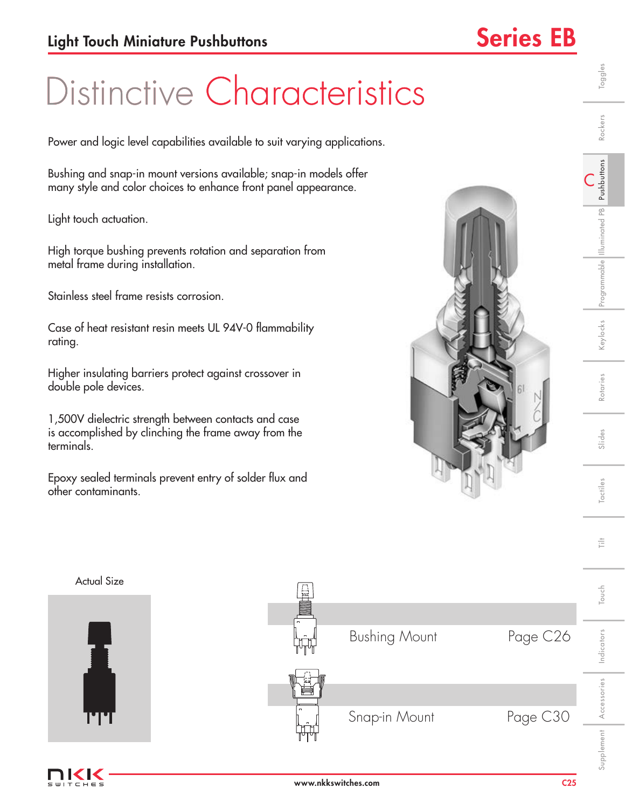C Pushbuttons

Illuminated PB

Toggles

Rockers

Slides | Rotaries | Keylocks |Programmable |Illuminated PB | **Pushbuttons** | Rockers | Toggles

Rotaries

Slides

Tactiles

言

(eylocks Programmable Illuminated PB Pushbuttons

# Distinctive Characteristics

Power and logic level capabilities available to suit varying applications.

Bushing and snap-in mount versions available; snap-in models offer many style and color choices to enhance front panel appearance.

Light touch actuation.

High torque bushing prevents rotation and separation from metal frame during installation.

Stainless steel frame resists corrosion.

Case of heat resistant resin meets UL 94V-0 flammability rating.

Higher insulating barriers protect against crossover in double pole devices.

1,500V dielectric strength between contacts and case is accomplished by clinching the frame away from the terminals.

Epoxy sealed terminals prevent entry of solder flux and other contaminants.





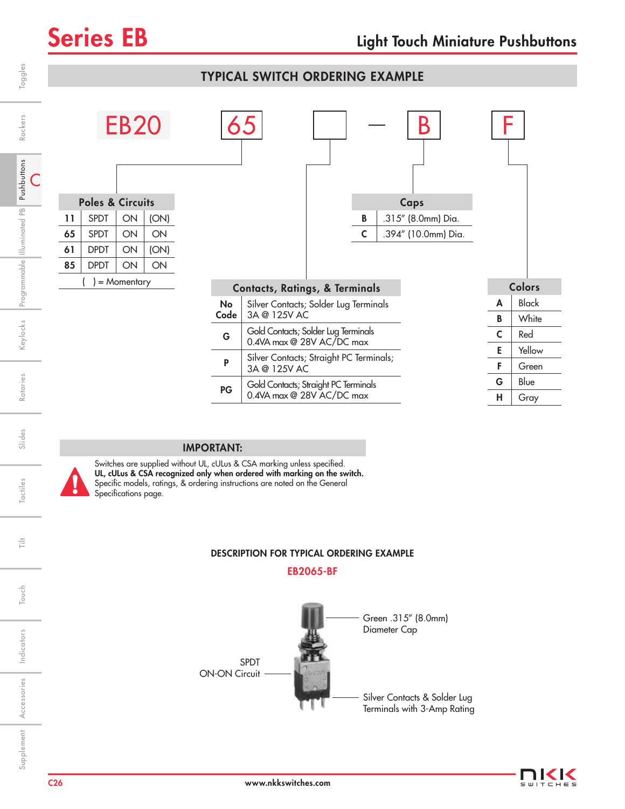## Toggles Touch | Tilt | Tactiles | Slides | Rotaries | Keylocks |Programmable ||lluminated PB | Pu**shbuttons** | Rockers | Toggles TYPICAL SWITCH ORDERING EXAMPLE  $EB20$  65  $|$   $|$   $|$   $|$  B Rockers Slides Rotaries Keylocks Programmable Illuminated PB Pushbuttons Rockers Keylocks Programmable Illuminated PB Pushbuttons Pushbuttons C Poles & Circuits Caps Illuminated PB  $11$  SPDT  $\vert$  ON  $\vert$  (ON) **B** .315" (8.0mm) Dia. 65  $SPI | ON | ON$ **C** .394" (10.0mm) Dia. 61 | DPDT  $\vert$  ON  $\vert$  (ON)  $85$  DPDT  $\vert$  ON  $\vert$  ON ) = Momentary Colors Contacts, Ratings, & Terminals  $A$  | Black No Silver Contacts; Solder Lug Terminals **Code** 3A @ 125V AC **B** | White Supplement Accessories Indicators Touch | Tilt Tactiles | Slides | Rotaries | Keylocks  $G \begin{bmatrix} \text{Gold Contacts; Solder Lug Terminals} \\ \text{QOM} \end{bmatrix}$  $C \mid Red$ 0.4VA max @ 28V AC/DC max E Yellow **P** Silver Contacts; Straight PC Terminals;  $F \mid$  Green 3A @ 125V AC Rotaries G | Blue PG Gold Contacts; Straight PC Terminals 0.4VA max @ 28V AC/DC max  $H \mid$  Gray

## IMPORTANT:

Switches are supplied without UL, cULus & CSA marking unless specified. UL, cULus & CSA recognized only when ordered with marking on the switch. Specific models, ratings, & ordering instructions are noted on the General Specifications page.

## DESCRIPTION FOR TYPICAL ORDERING EXAMPLE

EB2065-BF





Indicators

Indicators

Slides

**actiles** 

ŧ

Touch

Accessories

Supplement Accessories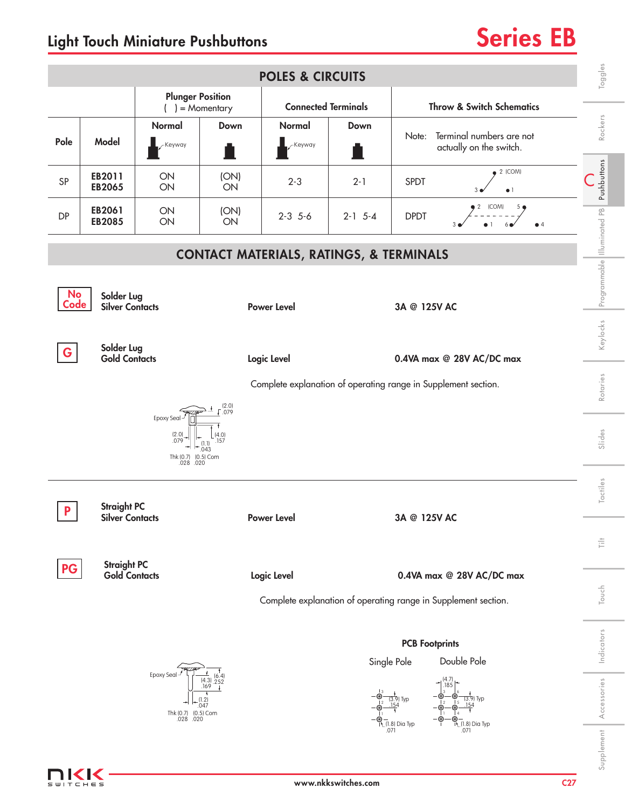## Light Touch Miniature Pushbuttons **Series EB**



C27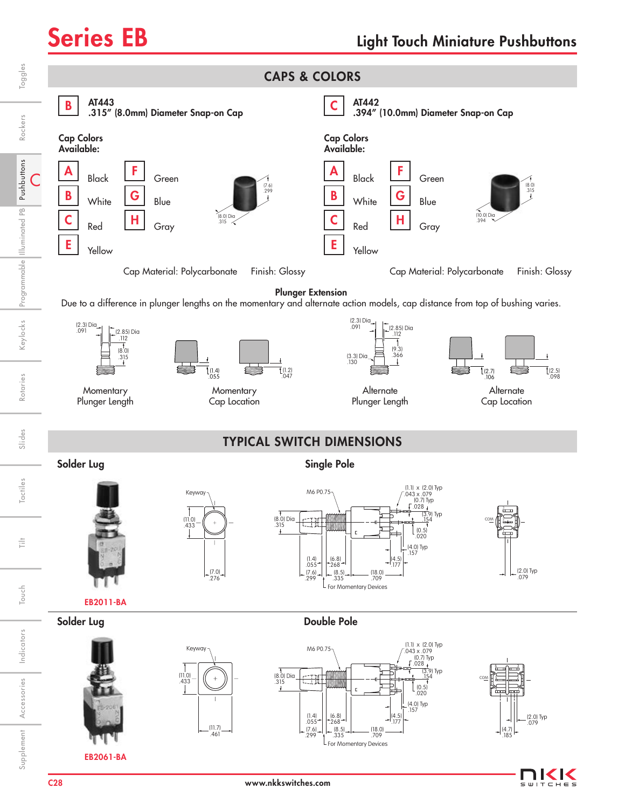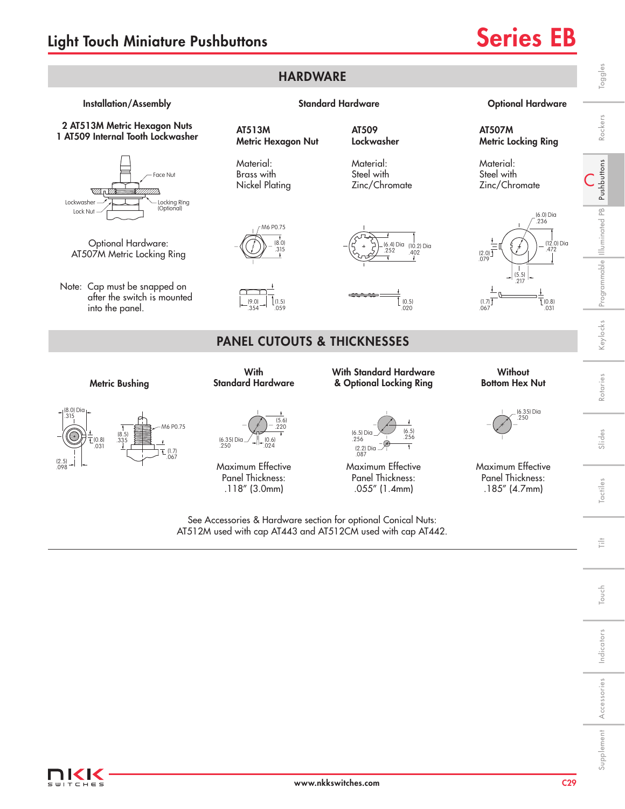

IKK -<br>ТСНЕ 5

C29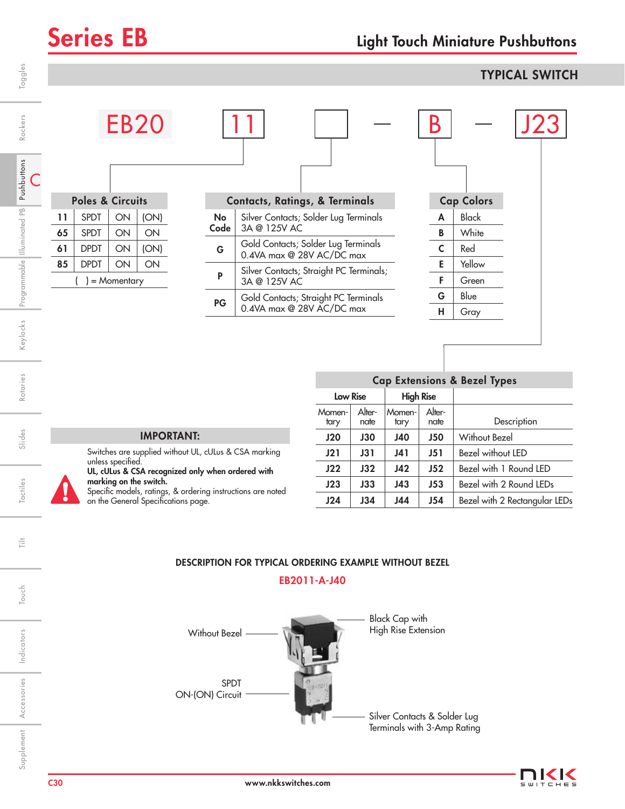**EB20** 

Poles & Circuits  $11$  SPDT  $\vert$  ON  $\vert$  (ON) 65 | SPDT  $\vert$  ON  $\vert$  ON

## Series EB Light Touch Miniature Pushbuttons

## **TYPICAL SWITCH**

| .,     | ٠ |
|--------|---|
| .,     | ۷ |
| ı<br>۹ |   |

C

ŧ

Touch

Indicators

Indicators

Accessories

Supplement Accessories

| 61 | <b>DPDT</b> | ON              | (ON) |
|----|-------------|-----------------|------|
| 85 | <b>DPDT</b> | ON              | ON   |
|    |             | $) =$ Momentary |      |
|    |             |                 |      |
|    |             |                 |      |
|    |             |                 |      |
|    |             |                 |      |
|    |             |                 |      |
|    |             |                 |      |
|    |             |                 |      |

|    | <b>Contacts, Ratings, &amp; Terminals</b>                    |
|----|--------------------------------------------------------------|
| No | Silver Contacts; Solder Lug Terminals<br>Code   3A @ 125V AC |
|    | Cald Cantacte: Saldar Lug Tarminale                          |

| G  | Gold Contacts; Solder Lug Terminals<br>0.4VA max @ 28V AC/DC max  |  |  |
|----|-------------------------------------------------------------------|--|--|
| P  | Silver Contacts; Straight PC Terminals;<br>3A @ 125V AC           |  |  |
| PG | Gold Contacts; Straight PC Terminals<br>0.4VA max @ 28V AC/DC max |  |  |

|              |                   | J'Z'. |  |
|--------------|-------------------|-------|--|
|              | <b>Cap Colors</b> |       |  |
| A            | <b>Black</b>      |       |  |
| B            | White             |       |  |
| $\mathsf{C}$ | Red               |       |  |
| E            | Yellow            |       |  |
| F            | Green             |       |  |
| G            | Blue              |       |  |
| н            | Gray              |       |  |
|              |                   |       |  |

| <b>IMPORTANT:</b> |  |
|-------------------|--|

Switches are supplied without UL, cULus & CSA marking unless specified.

UL, cULus & CSA recognized only when ordered with marking on the switch.

Specific models, ratings, & ordering instructions are noted on the General Specifications page.

| <b>Cap Extensions &amp; Bezel Types</b> |                |                  |                |                               |  |  |  |  |
|-----------------------------------------|----------------|------------------|----------------|-------------------------------|--|--|--|--|
| <b>Low Rise</b>                         |                | <b>High Rise</b> |                |                               |  |  |  |  |
| Momen-<br>tary                          | Alter-<br>nate | Momen-<br>tary   | Alter-<br>nate | Description                   |  |  |  |  |
| J20                                     | <b>J30</b>     | <b>J40</b>       | <b>J50</b>     | Without Bezel                 |  |  |  |  |
| J21                                     | <b>J31</b>     | J41              | J51            | Bezel without LED             |  |  |  |  |
| J22                                     | J32            | J42              | J52            | Bezel with 1 Round LED        |  |  |  |  |
| J23                                     | J33            | J43              | J53            | Bezel with 2 Round LEDs       |  |  |  |  |
| J24                                     | J34            | J44              | J54            | Bezel with 2 Rectangular LEDs |  |  |  |  |

## DESCRIPTION FOR TYPICAL ORDERING EXAMPLE WITHOUT BEZEL

EB2011-A-J40



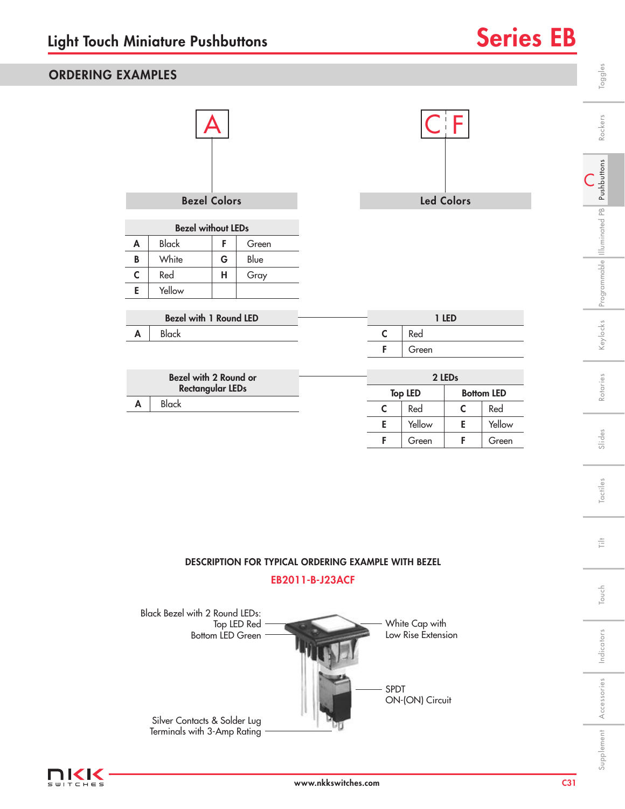## ORDERING EXAMPLES

| <b>Bezel Colors</b>                                     |                        |   |       | <b>Led Colors</b> |                |   |                   |  |
|---------------------------------------------------------|------------------------|---|-------|-------------------|----------------|---|-------------------|--|
| <b>Bezel without LEDs</b>                               |                        |   |       |                   |                |   |                   |  |
| A                                                       | <b>Black</b>           | F | Green |                   |                |   |                   |  |
| B                                                       | White                  | G | Blue  |                   |                |   |                   |  |
| $\mathsf{C}$                                            | Red                    | н | Gray  |                   |                |   |                   |  |
| E                                                       | Yellow                 |   |       |                   |                |   |                   |  |
|                                                         | Bezel with 1 Round LED |   |       |                   | 1 LED          |   |                   |  |
| A                                                       | <b>Black</b>           |   | C     | Red               |                |   |                   |  |
|                                                         |                        |   |       | F                 | Green          |   |                   |  |
|                                                         |                        |   |       |                   |                |   |                   |  |
| <b>Bezel with 2 Round or</b><br><b>Rectangular LEDs</b> |                        |   |       | 2 LEDs            |                |   |                   |  |
| A                                                       | <b>Black</b>           |   |       |                   | <b>Top LED</b> |   | <b>Bottom LED</b> |  |
|                                                         |                        |   |       | $\mathsf{C}$      | Red            | C | Red               |  |
|                                                         |                        |   |       | E                 | Yellow         | E | Yellow            |  |

## DESCRIPTION FOR TYPICAL ORDERING EXAMPLE WITH BEZEL

F Green F Green

## EB2011-B-J23ACF





Indicators

Indicators

Supplement Accessories | Indicators | Touch | Tilt | Tactiles | Slides | Rotaries | Keylocks

 $\stackrel{\pm}{\equiv}$ 

Touch Tilt

Touch

C Pushbuttons

Illuminated PB

Toggles

Rockers

Slides | Rotaries | Keylocks |Programmable |Illuminated PB | **Pushbuttons** | Rockers | Toggles

Rotaries

Slides

Tactiles

Keylocks Programmable Illuminated PB Pushbuttons

Accessories

Supplement Accessories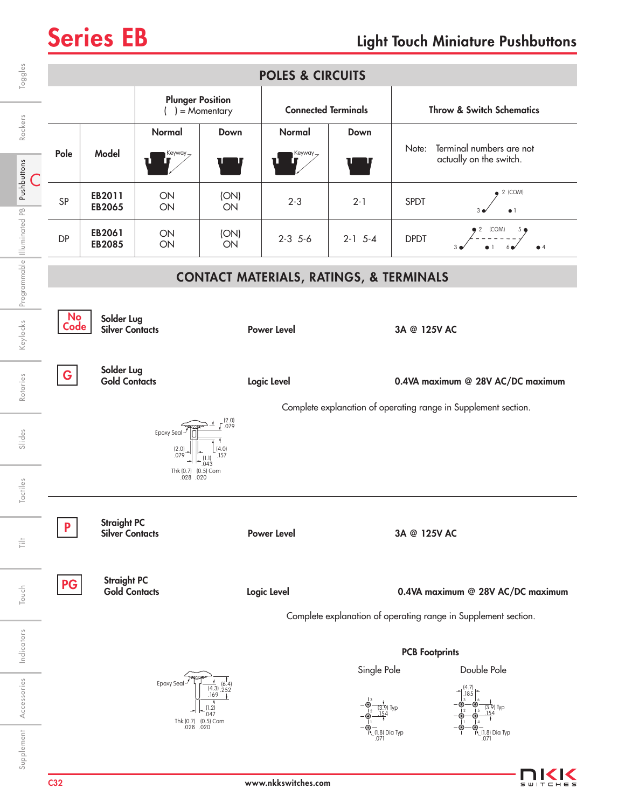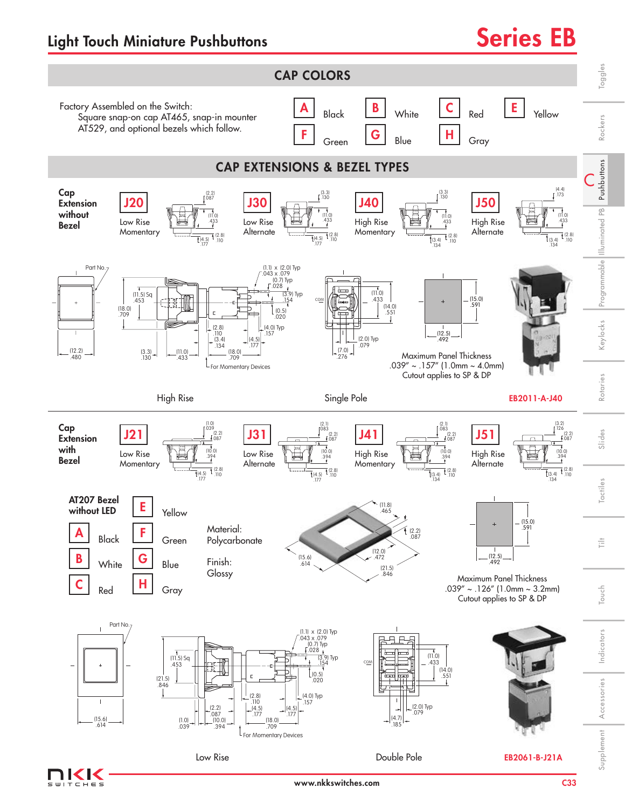



www.nkkswitches.com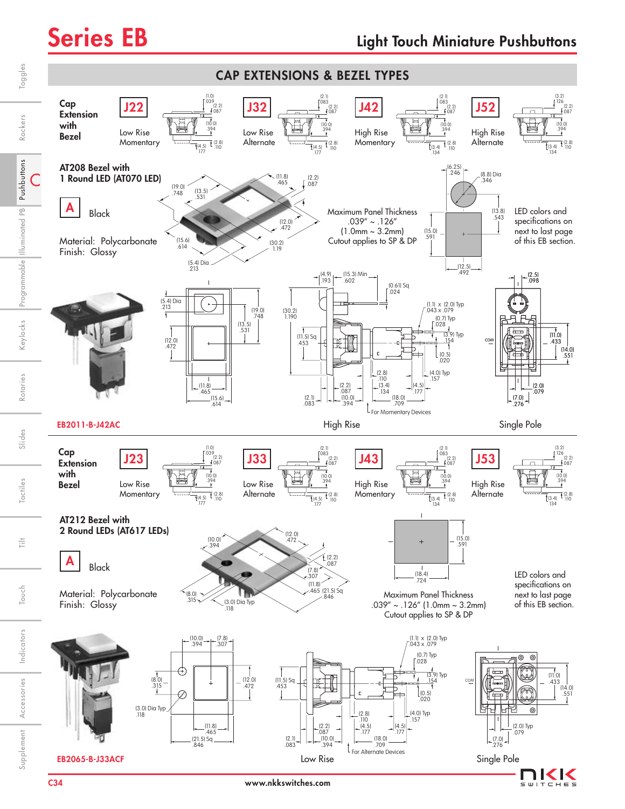

Indicators

Indicators

Supplement Accessories | Indicators | Touch | Tilt | Tactiles | Slides | Rotaries | Keylocks

ŧ

Touch

Pushbuttons

Rockers

Toggles

Illuminated PB

Programmable Illuminated PB Pushbuttons

Slides Rotaries Keylocks Programmable Illuminated PB Pushbuttons Rockers

Touch | Tilt | Tactiles | Slides | Rotaries | Keylocks |Programmable ||lluminated PB | Pu**shbuttons** | Rockers | Toggles

Keylocks

Rotaries

Slides

Tactiles

Accessories

Supplement

Accessories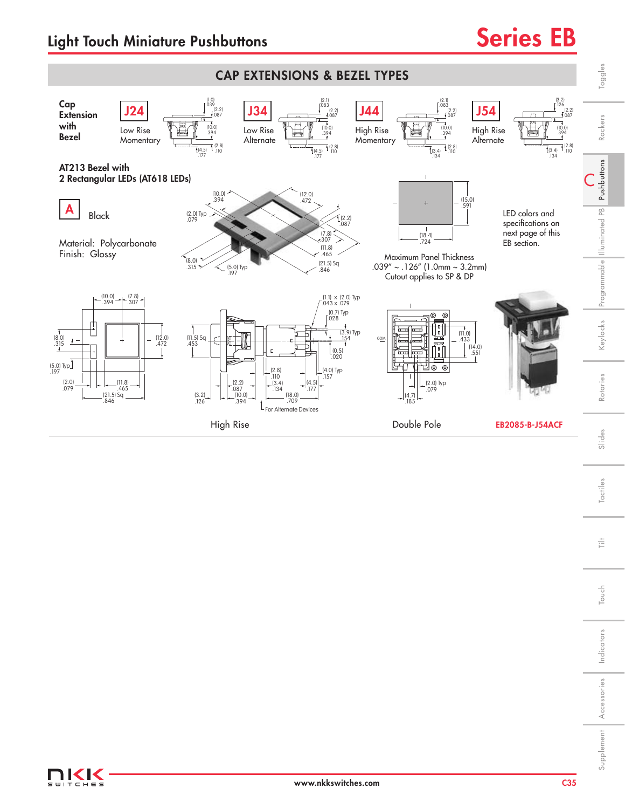

Touch

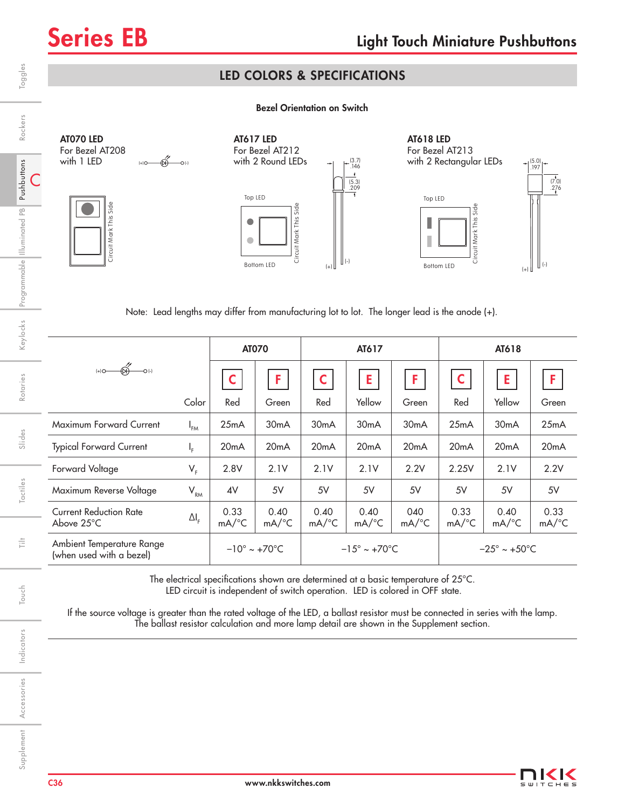## LED COLORS & SPECIFICATIONS

## Bezel Orientation on Switch



Note: Lead lengths may differ from manufacturing lot to lot. The longer lead is the anode (+).

|                                                       |                    | <b>AT070</b>                     |                             | AT617                            |                             |                            | AT618                            |                             |                             |
|-------------------------------------------------------|--------------------|----------------------------------|-----------------------------|----------------------------------|-----------------------------|----------------------------|----------------------------------|-----------------------------|-----------------------------|
|                                                       |                    | C                                | F                           |                                  | E                           | F                          | C                                | E                           | F                           |
|                                                       | Color              | Red                              | Green                       | Red                              | Yellow                      | Green                      | Red                              | Yellow                      | Green                       |
| Maximum Forward Current                               | $I_{FM}$           | 25mA                             | 30 <sub>m</sub> A           | 30 <sub>m</sub> A                | 30 <sub>m</sub> A           | 30 <sub>m</sub> A          | 25mA                             | 30 <sub>m</sub> A           | 25mA                        |
| <b>Typical Forward Current</b>                        | Ч.                 | 20mA                             | 20mA                        | 20mA                             | 20mA                        | 20mA                       | 20mA                             | 20mA                        | 20mA                        |
| Forward Voltage                                       | $V_{F}$            | 2.8V                             | 2.1V                        | 2.1V                             | 2.1V                        | 2.2V                       | 2.25V                            | 2.1V                        | 2.2V                        |
| Maximum Reverse Voltage                               | $V_{\rm RM}$       | 4V                               | 5V                          | 5V                               | 5V                          | 5V                         | 5V                               | 5V                          | 5V                          |
| <b>Current Reduction Rate</b><br>Above $25^{\circ}$ C | $\Delta I_{\rm F}$ | 0.33<br>$mA$ <sup>o</sup> C      | 0.40<br>$mA$ <sup>o</sup> C | 0.40<br>$mA$ <sup>o</sup> C      | 0.40<br>$mA$ <sup>o</sup> C | 040<br>$mA$ <sup>o</sup> C | 0.33<br>$mA$ <sup>o</sup> C      | 0.40<br>$mA$ <sup>o</sup> C | 0.33<br>$mA$ <sup>°</sup> C |
| Ambient Temperature Range<br>(when used with a bezel) |                    | $-10^{\circ} \sim +70^{\circ}$ C |                             | $-15^{\circ} \sim +70^{\circ}$ C |                             |                            | $-25^{\circ} \sim +50^{\circ}$ C |                             |                             |

The electrical specifications shown are determined at a basic temperature of 25°C. LED circuit is independent of switch operation. LED is colored in OFF state.

If the source voltage is greater than the rated voltage of the LED, a ballast resistor must be connected in series with the lamp. The ballast resistor calculation and more lamp detail are shown in the Supplement section.

Rotaries